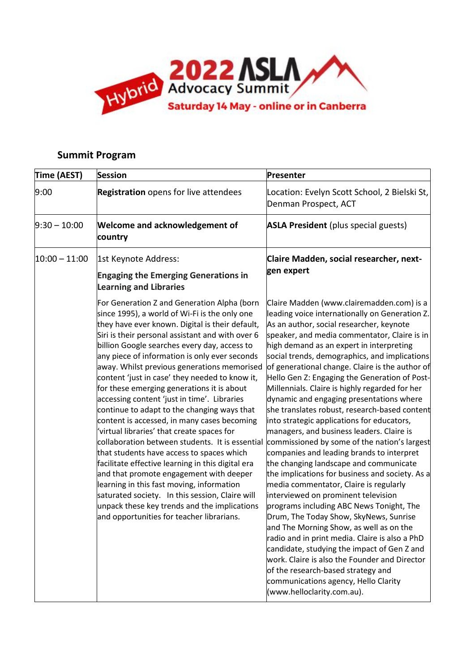

## **Summit Program**

| Time (AEST)     | <b>Session</b>                                                                                                                                                                                                                                                                                                                                                                                                                                                                                                                                                                                                                                                                                                                                                                                                                                                                                                                                                                                                                              | Presenter                                                                                                                                                                                                                                                                                                                                                                                                                                                                                                                                                                                                                                                                                                                                                                                                                                                                                                                                                                                                                                                                                                                                                                                                                                                                                                    |
|-----------------|---------------------------------------------------------------------------------------------------------------------------------------------------------------------------------------------------------------------------------------------------------------------------------------------------------------------------------------------------------------------------------------------------------------------------------------------------------------------------------------------------------------------------------------------------------------------------------------------------------------------------------------------------------------------------------------------------------------------------------------------------------------------------------------------------------------------------------------------------------------------------------------------------------------------------------------------------------------------------------------------------------------------------------------------|--------------------------------------------------------------------------------------------------------------------------------------------------------------------------------------------------------------------------------------------------------------------------------------------------------------------------------------------------------------------------------------------------------------------------------------------------------------------------------------------------------------------------------------------------------------------------------------------------------------------------------------------------------------------------------------------------------------------------------------------------------------------------------------------------------------------------------------------------------------------------------------------------------------------------------------------------------------------------------------------------------------------------------------------------------------------------------------------------------------------------------------------------------------------------------------------------------------------------------------------------------------------------------------------------------------|
| 9:00            | <b>Registration</b> opens for live attendees                                                                                                                                                                                                                                                                                                                                                                                                                                                                                                                                                                                                                                                                                                                                                                                                                                                                                                                                                                                                | Location: Evelyn Scott School, 2 Bielski St,<br>Denman Prospect, ACT                                                                                                                                                                                                                                                                                                                                                                                                                                                                                                                                                                                                                                                                                                                                                                                                                                                                                                                                                                                                                                                                                                                                                                                                                                         |
| $9:30 - 10:00$  | <b>Welcome and acknowledgement of</b><br>country                                                                                                                                                                                                                                                                                                                                                                                                                                                                                                                                                                                                                                                                                                                                                                                                                                                                                                                                                                                            | <b>ASLA President</b> (plus special guests)                                                                                                                                                                                                                                                                                                                                                                                                                                                                                                                                                                                                                                                                                                                                                                                                                                                                                                                                                                                                                                                                                                                                                                                                                                                                  |
| $10:00 - 11:00$ | 1st Keynote Address:<br><b>Engaging the Emerging Generations in</b><br><b>Learning and Libraries</b>                                                                                                                                                                                                                                                                                                                                                                                                                                                                                                                                                                                                                                                                                                                                                                                                                                                                                                                                        | Claire Madden, social researcher, next-<br>gen expert                                                                                                                                                                                                                                                                                                                                                                                                                                                                                                                                                                                                                                                                                                                                                                                                                                                                                                                                                                                                                                                                                                                                                                                                                                                        |
|                 | For Generation Z and Generation Alpha (born<br>since 1995), a world of Wi-Fi is the only one<br>they have ever known. Digital is their default,<br>Siri is their personal assistant and with over 6<br>billion Google searches every day, access to<br>any piece of information is only ever seconds<br>away. Whilst previous generations memorised<br>content 'just in case' they needed to know it,<br>for these emerging generations it is about<br>accessing content 'just in time'. Libraries<br>continue to adapt to the changing ways that<br>content is accessed, in many cases becoming<br>'virtual libraries' that create spaces for<br>collaboration between students. It is essential<br>that students have access to spaces which<br>facilitate effective learning in this digital era<br>and that promote engagement with deeper<br>learning in this fast moving, information<br>saturated society. In this session, Claire will<br>unpack these key trends and the implications<br>and opportunities for teacher librarians. | Claire Madden (www.clairemadden.com) is a<br>leading voice internationally on Generation Z.<br>As an author, social researcher, keynote<br>speaker, and media commentator, Claire is in<br>high demand as an expert in interpreting<br>social trends, demographics, and implications<br>of generational change. Claire is the author of<br>Hello Gen Z: Engaging the Generation of Post-<br>Millennials. Claire is highly regarded for her<br>dynamic and engaging presentations where<br>she translates robust, research-based content<br>into strategic applications for educators,<br>managers, and business leaders. Claire is<br>commissioned by some of the nation's largest<br>companies and leading brands to interpret<br>the changing landscape and communicate<br>the implications for business and society. As a<br>media commentator, Claire is regularly<br>interviewed on prominent television<br>programs including ABC News Tonight, The<br>Drum, The Today Show, SkyNews, Sunrise<br>and The Morning Show, as well as on the<br>radio and in print media. Claire is also a PhD<br>candidate, studying the impact of Gen Z and<br>work. Claire is also the Founder and Director<br>of the research-based strategy and<br>communications agency, Hello Clarity<br>(www.helloclarity.com.au). |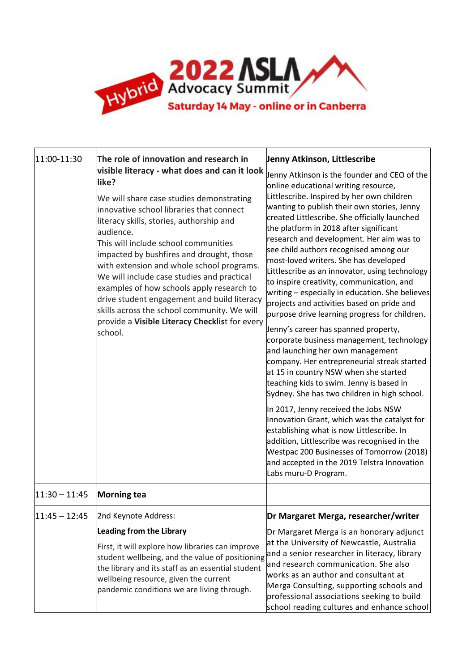

| 11:00-11:30     | The role of innovation and research in<br>visible literacy - what does and can it look<br>like?<br>We will share case studies demonstrating<br>innovative school libraries that connect<br>literacy skills, stories, authorship and<br>audience.<br>This will include school communities<br>impacted by bushfires and drought, those<br>with extension and whole school programs.<br>We will include case studies and practical<br>examples of how schools apply research to<br>drive student engagement and build literacy<br>skills across the school community. We will<br>provide a Visible Literacy Checklist for every<br>school. | Jenny Atkinson, Littlescribe<br>Jenny Atkinson is the founder and CEO of the<br>online educational writing resource,<br>Littlescribe. Inspired by her own children<br>wanting to publish their own stories, Jenny<br>created Littlescribe. She officially launched<br>the platform in 2018 after significant<br>research and development. Her aim was to<br>see child authors recognised among our<br>most-loved writers. She has developed<br>Littlescribe as an innovator, using technology<br>to inspire creativity, communication, and<br>writing - especially in education. She believes<br>projects and activities based on pride and                         |
|-----------------|-----------------------------------------------------------------------------------------------------------------------------------------------------------------------------------------------------------------------------------------------------------------------------------------------------------------------------------------------------------------------------------------------------------------------------------------------------------------------------------------------------------------------------------------------------------------------------------------------------------------------------------------|---------------------------------------------------------------------------------------------------------------------------------------------------------------------------------------------------------------------------------------------------------------------------------------------------------------------------------------------------------------------------------------------------------------------------------------------------------------------------------------------------------------------------------------------------------------------------------------------------------------------------------------------------------------------|
|                 |                                                                                                                                                                                                                                                                                                                                                                                                                                                                                                                                                                                                                                         | purpose drive learning progress for children.<br>Jenny's career has spanned property,<br>corporate business management, technology<br>and launching her own management<br>company. Her entrepreneurial streak started<br>at 15 in country NSW when she started<br>teaching kids to swim. Jenny is based in<br>Sydney. She has two children in high school.<br>In 2017, Jenny received the Jobs NSW<br>Innovation Grant, which was the catalyst for<br>establishing what is now Littlescribe. In<br>addition, Littlescribe was recognised in the<br>Westpac 200 Businesses of Tomorrow (2018)<br>and accepted in the 2019 Telstra Innovation<br>Labs muru-D Program. |
| $11:30 - 11:45$ | <b>Morning tea</b>                                                                                                                                                                                                                                                                                                                                                                                                                                                                                                                                                                                                                      |                                                                                                                                                                                                                                                                                                                                                                                                                                                                                                                                                                                                                                                                     |
| $11:45 - 12:45$ | 2nd Keynote Address:                                                                                                                                                                                                                                                                                                                                                                                                                                                                                                                                                                                                                    | Dr Margaret Merga, researcher/writer                                                                                                                                                                                                                                                                                                                                                                                                                                                                                                                                                                                                                                |
|                 | <b>Leading from the Library</b><br>First, it will explore how libraries can improve<br>student wellbeing, and the value of positioning<br>the library and its staff as an essential student<br>wellbeing resource, given the current<br>pandemic conditions we are living through.                                                                                                                                                                                                                                                                                                                                                      | Dr Margaret Merga is an honorary adjunct<br>at the University of Newcastle, Australia<br>and a senior researcher in literacy, library<br>and research communication. She also<br>works as an author and consultant at<br>Merga Consulting, supporting schools and<br>professional associations seeking to build<br>school reading cultures and enhance school                                                                                                                                                                                                                                                                                                       |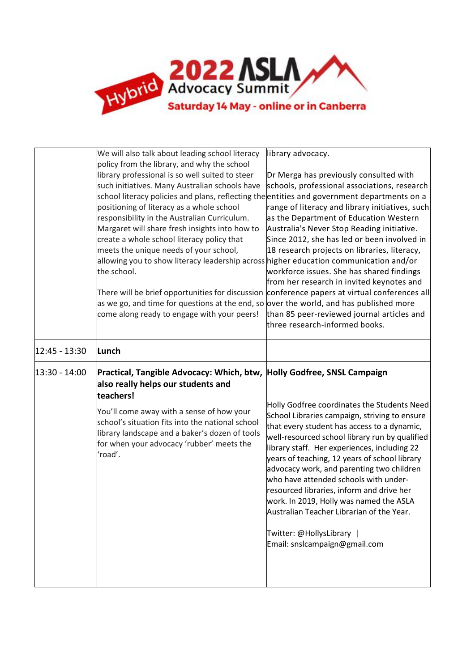

|               | We will also talk about leading school literacy<br>policy from the library, and why the school<br>library professional is so well suited to steer<br>such initiatives. Many Australian schools have<br>school literacy policies and plans, reflecting the entities and government departments on a<br>positioning of literacy as a whole school<br>responsibility in the Australian Curriculum.<br>Margaret will share fresh insights into how to<br>create a whole school literacy policy that<br>meets the unique needs of your school,<br>allowing you to show literacy leadership across higher education communication and/or<br>the school.<br>There will be brief opportunities for discussion conference papers at virtual conferences all<br>as we go, and time for questions at the end, so over the world, and has published more<br>come along ready to engage with your peers! | library advocacy.<br>Dr Merga has previously consulted with<br>schools, professional associations, research<br>range of literacy and library initiatives, such<br>as the Department of Education Western<br>Australia's Never Stop Reading initiative.<br>Since 2012, she has led or been involved in<br>18 research projects on libraries, literacy,<br>workforce issues. She has shared findings<br>from her research in invited keynotes and<br>than 85 peer-reviewed journal articles and<br>three research-informed books.                                                         |
|---------------|---------------------------------------------------------------------------------------------------------------------------------------------------------------------------------------------------------------------------------------------------------------------------------------------------------------------------------------------------------------------------------------------------------------------------------------------------------------------------------------------------------------------------------------------------------------------------------------------------------------------------------------------------------------------------------------------------------------------------------------------------------------------------------------------------------------------------------------------------------------------------------------------|-----------------------------------------------------------------------------------------------------------------------------------------------------------------------------------------------------------------------------------------------------------------------------------------------------------------------------------------------------------------------------------------------------------------------------------------------------------------------------------------------------------------------------------------------------------------------------------------|
| 12:45 - 13:30 | Lunch                                                                                                                                                                                                                                                                                                                                                                                                                                                                                                                                                                                                                                                                                                                                                                                                                                                                                       |                                                                                                                                                                                                                                                                                                                                                                                                                                                                                                                                                                                         |
| 13:30 - 14:00 | Practical, Tangible Advocacy: Which, btw, Holly Godfree, SNSL Campaign<br>also really helps our students and<br>teachers!<br>You'll come away with a sense of how your<br>school's situation fits into the national school<br>library landscape and a baker's dozen of tools<br>for when your advocacy 'rubber' meets the<br>'road'.                                                                                                                                                                                                                                                                                                                                                                                                                                                                                                                                                        | Holly Godfree coordinates the Students Need<br>School Libraries campaign, striving to ensure<br>that every student has access to a dynamic,<br>well-resourced school library run by qualified<br>library staff. Her experiences, including 22<br>years of teaching, 12 years of school library<br>advocacy work, and parenting two children<br>who have attended schools with under-<br>resourced libraries, inform and drive her<br>work. In 2019, Holly was named the ASLA<br>Australian Teacher Librarian of the Year.<br>Twitter: @HollysLibrary  <br>Email: snslcampaign@gmail.com |